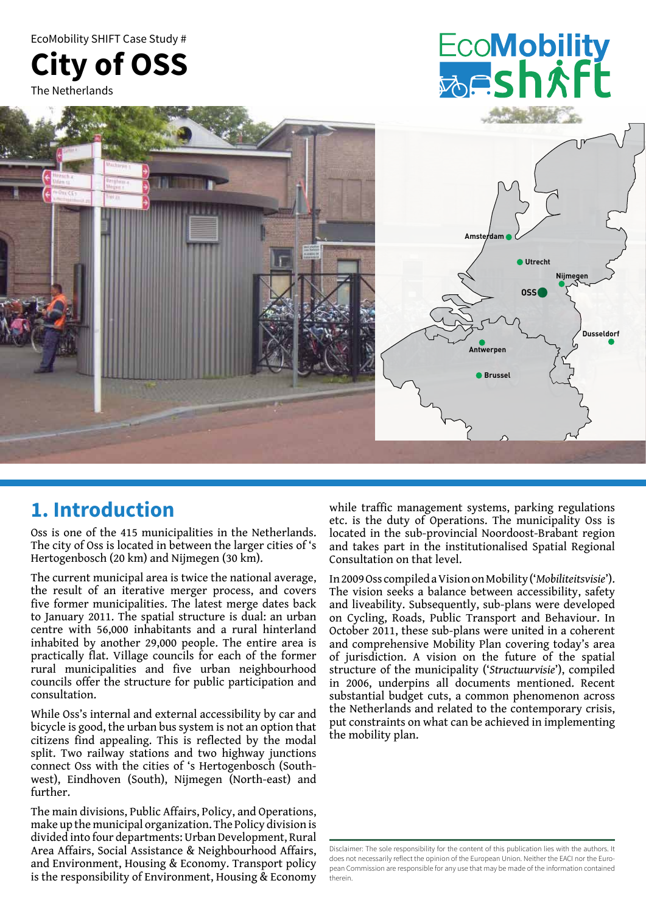EcoMobility SHIFT Case Study #



The Netherlands





### **1. Introduction**

Oss is one of the 415 municipalities in the Netherlands. The city of Oss is located in between the larger cities of 's Hertogenbosch (20 km) and Nijmegen (30 km).

The current municipal area is twice the national average, the result of an iterative merger process, and covers five former municipalities. The latest merge dates back to January 2011. The spatial structure is dual: an urban centre with 56,000 inhabitants and a rural hinterland inhabited by another 29,000 people. The entire area is practically flat. Village councils for each of the former rural municipalities and five urban neighbourhood councils offer the structure for public participation and consultation.

While Oss's internal and external accessibility by car and bicycle is good, the urban bus system is not an option that citizens find appealing. This is reflected by the modal split. Two railway stations and two highway junctions connect Oss with the cities of 's Hertogenbosch (Southwest), Eindhoven (South), Nijmegen (North-east) and further.

The main divisions, Public Affairs, Policy, and Operations, make up the municipal organization. The Policy division is divided into four departments: Urban Development, Rural Area Affairs, Social Assistance & Neighbourhood Affairs, and Environment, Housing & Economy. Transport policy is the responsibility of Environment, Housing & Economy

while traffic management systems, parking regulations etc. is the duty of Operations. The municipality Oss is located in the sub-provincial Noordoost-Brabant region and takes part in the institutionalised Spatial Regional Consultation on that level.

In 2009 Oss compiled a Vision on Mobility ('*Mobiliteitsvisie*'). The vision seeks a balance between accessibility, safety and liveability. Subsequently, sub-plans were developed on Cycling, Roads, Public Transport and Behaviour. In October 2011, these sub-plans were united in a coherent and comprehensive Mobility Plan covering today's area of jurisdiction. A vision on the future of the spatial structure of the municipality ('*Structuurvisie*'), compiled in 2006, underpins all documents mentioned. Recent substantial budget cuts, a common phenomenon across the Netherlands and related to the contemporary crisis, put constraints on what can be achieved in implementing the mobility plan.

Disclaimer: The sole responsibility for the content of this publication lies with the authors. It does not necessarily reflect the opinion of the European Union. Neither the EACI nor the European Commission are responsible for any use that may be made of the information contained therein.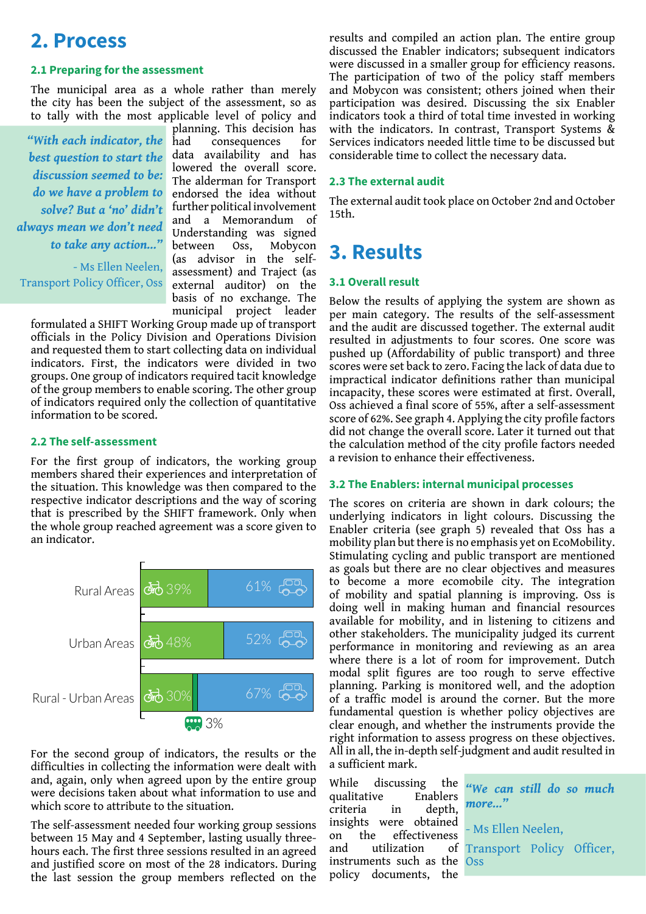### **2. Process**

#### **2.1 Preparing for the assessment**

The municipal area as a whole rather than merely the city has been the subject of the assessment, so as to tally with the most applicable level of policy and

*"With each indicator, the best question to start the discussion seemed to be: do we have a problem to solve? But a 'no' didn't always mean we don't need to take any action..."*

- Ms Ellen Neelen, Transport Policy Officer, Oss

planning. This decision has had consequences for data availability and has lowered the overall score. The alderman for Transport endorsed the idea without further political involvement and a Memorandum of Understanding was signed between Oss, Mobycon (as advisor in the selfassessment) and Traject (as external auditor) on the basis of no exchange. The municipal project leader

formulated a SHIFT Working Group made up of transport officials in the Policy Division and Operations Division and requested them to start collecting data on individual indicators. First, the indicators were divided in two groups. One group of indicators required tacit knowledge of the group members to enable scoring. The other group of indicators required only the collection of quantitative information to be scored.

#### **2.2 The self-assessment**

For the first group of indicators, the working group members shared their experiences and interpretation of the situation. This knowledge was then compared to the respective indicator descriptions and the way of scoring that is prescribed by the SHIFT framework. Only when the whole group reached agreement was a score given to an indicator.



For the second group of indicators, the results or the difficulties in collecting the information were dealt with and, again, only when agreed upon by the entire group were decisions taken about what information to use and which score to attribute to the situation.

The self-assessment needed four working group sessions between 15 May and 4 September, lasting usually threehours each. The first three sessions resulted in an agreed and justified score on most of the 28 indicators. During the last session the group members reflected on the

results and compiled an action plan. The entire group discussed the Enabler indicators; subsequent indicators were discussed in a smaller group for efficiency reasons. The participation of two of the policy staff members and Mobycon was consistent; others joined when their participation was desired. Discussing the six Enabler indicators took a third of total time invested in working with the indicators. In contrast, Transport Systems  $\&$ Services indicators needed little time to be discussed but considerable time to collect the necessary data.

#### **2.3 The external audit**

The external audit took place on October 2nd and October 15th.

## **3. Results**

#### **3.1 Overall result**

Below the results of applying the system are shown as per main category. The results of the self-assessment and the audit are discussed together. The external audit resulted in adjustments to four scores. One score was pushed up (Affordability of public transport) and three scores were set back to zero. Facing the lack of data due to impractical indicator definitions rather than municipal incapacity, these scores were estimated at first. Overall, Oss achieved a final score of 55%, after a self-assessment score of 62%. See graph 4. Applying the city profile factors did not change the overall score. Later it turned out that the calculation method of the city profile factors needed a revision to enhance their effectiveness.

#### **3.2 The Enablers: internal municipal processes**

The scores on criteria are shown in dark colours; the underlying indicators in light colours. Discussing the Enabler criteria (see graph 5) revealed that Oss has a mobility plan but there is no emphasis yet on EcoMobility. Stimulating cycling and public transport are mentioned as goals but there are no clear objectives and measures to become a more ecomobile city. The integration of mobility and spatial planning is improving. Oss is doing well in making human and financial resources available for mobility, and in listening to citizens and other stakeholders. The municipality judged its current performance in monitoring and reviewing as an area where there is a lot of room for improvement. Dutch modal split figures are too rough to serve effective planning. Parking is monitored well, and the adoption of a traffic model is around the corner. But the more fundamental question is whether policy objectives are clear enough, and whether the instruments provide the right information to assess progress on these objectives. All in all, the in-depth self-judgment and audit resulted in a sufficient mark.

While discussing the qualitative Enablers criteria in depth, insights were obtained on the effectiveness and utilization of instruments such as the policy documents, the

*"We can still do so much more..."*

- Ms Ellen Neelen, Transport Policy Officer, **Oss**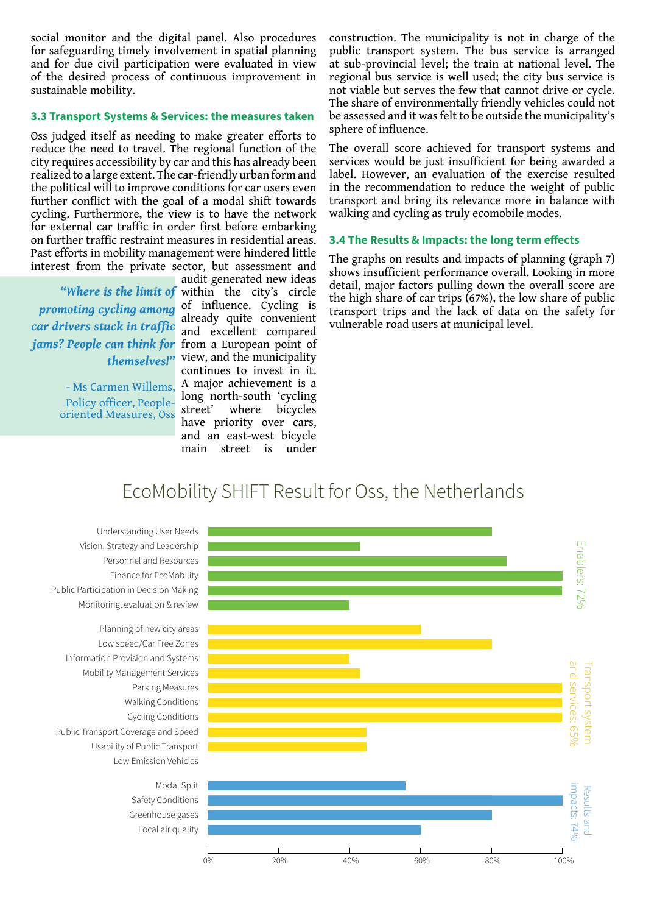social monitor and the digital panel. Also procedures for safeguarding timely involvement in spatial planning and for due civil participation were evaluated in view of the desired process of continuous improvement in sustainable mobility.

#### **3.3 Transport Systems & Services: the measures taken**

Oss judged itself as needing to make greater efforts to reduce the need to travel. The regional function of the city requires accessibility by car and this has already been realized to a large extent. The car-friendly urban form and the political will to improve conditions for car users even further conflict with the goal of a modal shift towards cycling. Furthermore, the view is to have the network for external car traffic in order first before embarking on further traffic restraint measures in residential areas. Past efforts in mobility management were hindered little interest from the private sector, but assessment and

*promoting cycling among car drivers stuck in traffic jams? People can think for themselves!"*

> - Ms Carmen Willems, Policy officer, Peopleoriented Measures, Oss

audit generated new ideas "Where is the limit of within the city's circle of influence. Cycling is already quite convenient and excellent compared from a European point of view, and the municipality continues to invest in it. A major achievement is a long north-south 'cycling street' where bicycles have priority over cars, and an east-west bicycle main street is under

construction. The municipality is not in charge of the public transport system. The bus service is arranged at sub-provincial level; the train at national level. The regional bus service is well used; the city bus service is not viable but serves the few that cannot drive or cycle. The share of environmentally friendly vehicles could not be assessed and it was felt to be outside the municipality's sphere of influence.

The overall score achieved for transport systems and services would be just insufficient for being awarded a label. However, an evaluation of the exercise resulted in the recommendation to reduce the weight of public transport and bring its relevance more in balance with walking and cycling as truly ecomobile modes.

#### **3.4 The Results & Impacts: the long term effects**

The graphs on results and impacts of planning (graph 7) shows insufficient performance overall. Looking in more detail, major factors pulling down the overall score are the high share of car trips (67%), the low share of public transport trips and the lack of data on the safety for vulnerable road users at municipal level.

### EcoMobility SHIFT Result for Oss, the Netherlands

Monitoring, evaluation & review Personnel and Resources Vision, Strategy and Leadership Understanding User Needs Finance for EcoMobility Public Participation in Decision Making

Low Emission Vehicles Usability of Public Transport Public Transport Coverage and Speed Cycling Conditions Walking Conditions Parking Measures Mobility Management Services Information Provision and Systems Low speed/Car Free Zones Planning of new city areas

> Local air quality Greenhouse gases Safety Conditions Modal Split